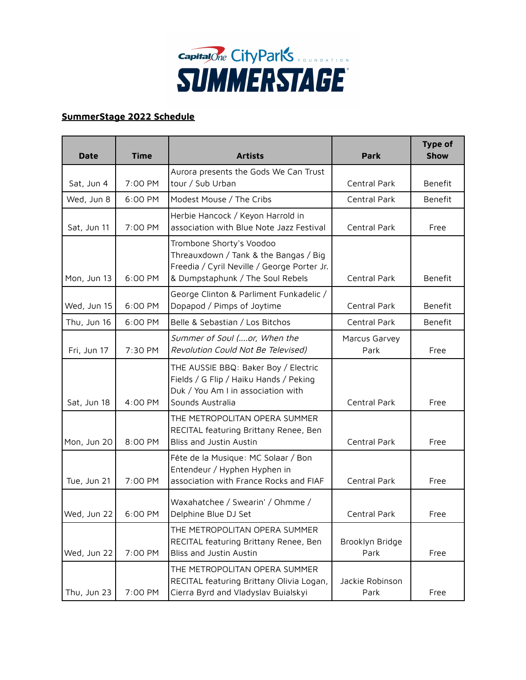

## **SummerStage 2022 Schedule**

| <b>Date</b> | <b>Time</b> | <b>Artists</b>                                                                                                                                       | <b>Park</b>             | <b>Type of</b><br><b>Show</b> |
|-------------|-------------|------------------------------------------------------------------------------------------------------------------------------------------------------|-------------------------|-------------------------------|
|             |             | Aurora presents the Gods We Can Trust                                                                                                                |                         |                               |
| Sat, Jun 4  | 7:00 PM     | tour / Sub Urban                                                                                                                                     | Central Park            | Benefit                       |
| Wed, Jun 8  | 6:00 PM     | Modest Mouse / The Cribs                                                                                                                             | Central Park            | Benefit                       |
| Sat, Jun 11 | 7:00 PM     | Herbie Hancock / Keyon Harrold in<br>association with Blue Note Jazz Festival                                                                        | Central Park            | Free                          |
| Mon, Jun 13 | 6:00 PM     | Trombone Shorty's Voodoo<br>Threauxdown / Tank & the Bangas / Big<br>Freedia / Cyril Neville / George Porter Jr.<br>& Dumpstaphunk / The Soul Rebels | Central Park            | Benefit                       |
| Wed, Jun 15 | 6:00 PM     | George Clinton & Parliment Funkadelic /<br>Dopapod / Pimps of Joytime                                                                                | Central Park            | Benefit                       |
| Thu, Jun 16 | 6:00 PM     | Belle & Sebastian / Los Bitchos                                                                                                                      | Central Park            | Benefit                       |
| Fri, Jun 17 | 7:30 PM     | Summer of Soul (or, When the<br>Revolution Could Not Be Televised)                                                                                   | Marcus Garvey<br>Park   | Free                          |
| Sat, Jun 18 | 4:00 PM     | THE AUSSIE BBQ: Baker Boy / Electric<br>Fields / G Flip / Haiku Hands / Peking<br>Duk / You Am I in association with<br>Sounds Australia             | Central Park            | Free                          |
| Mon, Jun 20 | 8:00 PM     | THE METROPOLITAN OPERA SUMMER<br>RECITAL featuring Brittany Renee, Ben<br>Bliss and Justin Austin                                                    | Central Park            | Free                          |
| Tue, Jun 21 | 7:00 PM     | Fête de la Musique: MC Solaar / Bon<br>Entendeur / Hyphen Hyphen in<br>association with France Rocks and FIAF                                        | Central Park            | Free                          |
| Wed, Jun 22 | 6:00 PM     | Waxahatchee / Swearin' / Ohmme /<br>Delphine Blue DJ Set                                                                                             | Central Park            | Free                          |
| Wed, Jun 22 | 7:00 PM     | THE METROPOLITAN OPERA SUMMER<br>RECITAL featuring Brittany Renee, Ben<br>Bliss and Justin Austin                                                    | Brooklyn Bridge<br>Park | Free                          |
| Thu, Jun 23 | 7:00 PM     | THE METROPOLITAN OPERA SUMMER<br>RECITAL featuring Brittany Olivia Logan,<br>Cierra Byrd and Vladyslav Buialskyi                                     | Jackie Robinson<br>Park | Free                          |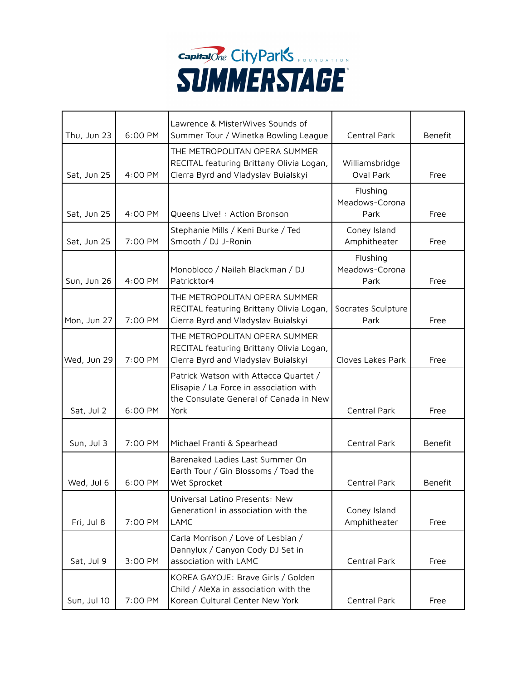

| Thu, Jun 23 | 6:00 PM | Lawrence & MisterWives Sounds of<br>Summer Tour / Winetka Bowling League                                                           | Central Park                       | Benefit        |
|-------------|---------|------------------------------------------------------------------------------------------------------------------------------------|------------------------------------|----------------|
| Sat, Jun 25 | 4:00 PM | THE METROPOLITAN OPERA SUMMER<br>RECITAL featuring Brittany Olivia Logan,<br>Cierra Byrd and Vladyslav Buialskyi                   | Williamsbridge<br>Oval Park        | Free           |
| Sat, Jun 25 | 4:00 PM | Queens Live! : Action Bronson                                                                                                      | Flushing<br>Meadows-Corona<br>Park | Free           |
| Sat, Jun 25 | 7:00 PM | Stephanie Mills / Keni Burke / Ted<br>Smooth / DJ J-Ronin                                                                          | Coney Island<br>Amphitheater       | Free           |
| Sun, Jun 26 | 4:00 PM | Monobloco / Nailah Blackman / DJ<br>Patricktor4                                                                                    | Flushing<br>Meadows-Corona<br>Park | Free           |
| Mon, Jun 27 | 7:00 PM | THE METROPOLITAN OPERA SUMMER<br>RECITAL featuring Brittany Olivia Logan,<br>Cierra Byrd and Vladyslav Buialskyi                   | Socrates Sculpture<br>Park         | Free           |
| Wed, Jun 29 | 7:00 PM | THE METROPOLITAN OPERA SUMMER<br>RECITAL featuring Brittany Olivia Logan,<br>Cierra Byrd and Vladyslav Buialskyi                   | Cloves Lakes Park                  | Free           |
| Sat, Jul 2  | 6:00 PM | Patrick Watson with Attacca Quartet /<br>Elisapie / La Force in association with<br>the Consulate General of Canada in New<br>York | Central Park                       | Free           |
| Sun, Jul 3  | 7:00 PM | Michael Franti & Spearhead                                                                                                         | Central Park                       | <b>Benefit</b> |
| Wed, Jul 6  | 6:00 PM | Barenaked Ladies Last Summer On<br>Earth Tour / Gin Blossoms / Toad the<br>Wet Sprocket                                            | Central Park                       | Benefit        |
| Fri, Jul 8  | 7:00 PM | Universal Latino Presents: New<br>Generation! in association with the<br>LAMC                                                      | Coney Island<br>Amphitheater       | Free           |
| Sat, Jul 9  | 3:00 PM | Carla Morrison / Love of Lesbian /<br>Dannylux / Canyon Cody DJ Set in<br>association with LAMC                                    | Central Park                       | Free           |
| Sun, Jul 10 | 7:00 PM | KOREA GAYOJE: Brave Girls / Golden<br>Child / AleXa in association with the<br>Korean Cultural Center New York                     | Central Park                       | Free           |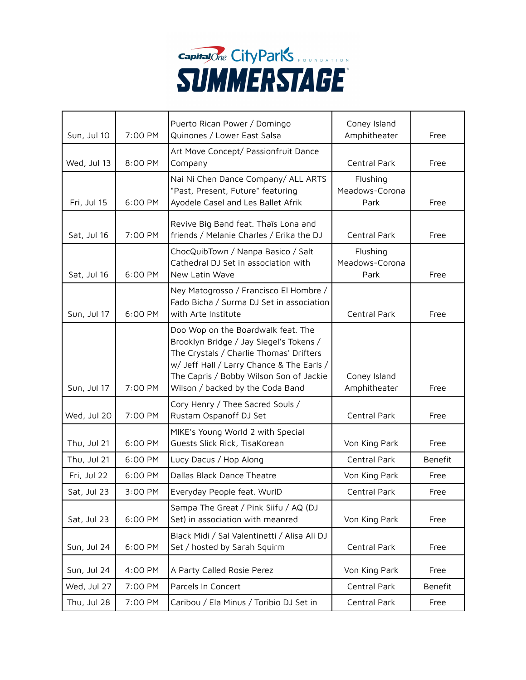

| Sun, Jul 10 | 7:00 PM | Puerto Rican Power / Domingo<br>Quinones / Lower East Salsa                                                                                                                                                                                          | Coney Island<br>Amphitheater       | Free           |
|-------------|---------|------------------------------------------------------------------------------------------------------------------------------------------------------------------------------------------------------------------------------------------------------|------------------------------------|----------------|
| Wed, Jul 13 | 8:00 PM | Art Move Concept/ Passionfruit Dance<br>Company                                                                                                                                                                                                      | Central Park                       | Free           |
| Fri, Jul 15 | 6:00 PM | Nai Ni Chen Dance Company/ ALL ARTS<br>"Past, Present, Future" featuring<br>Ayodele Casel and Les Ballet Afrik                                                                                                                                       | Flushing<br>Meadows-Corona<br>Park | Free           |
| Sat, Jul 16 | 7:00 PM | Revive Big Band feat. Thaïs Lona and<br>friends / Melanie Charles / Erika the DJ                                                                                                                                                                     | Central Park                       | Free           |
| Sat, Jul 16 | 6:00 PM | ChocQuibTown / Nanpa Basico / Salt<br>Cathedral DJ Set in association with<br>New Latin Wave                                                                                                                                                         | Flushing<br>Meadows-Corona<br>Park | Free           |
| Sun, Jul 17 | 6:00 PM | Ney Matogrosso / Francisco El Hombre /<br>Fado Bicha / Surma DJ Set in association<br>with Arte Institute                                                                                                                                            | Central Park                       | Free           |
| Sun, Jul 17 | 7:00 PM | Doo Wop on the Boardwalk feat. The<br>Brooklyn Bridge / Jay Siegel's Tokens /<br>The Crystals / Charlie Thomas' Drifters<br>w/ Jeff Hall / Larry Chance & The Earls /<br>The Capris / Bobby Wilson Son of Jackie<br>Wilson / backed by the Coda Band | Coney Island<br>Amphitheater       | Free           |
| Wed, Jul 20 | 7:00 PM | Cory Henry / Thee Sacred Souls /<br>Rustam Ospanoff DJ Set                                                                                                                                                                                           | Central Park                       | Free           |
| Thu, Jul 21 | 6:00 PM | MIKE's Young World 2 with Special<br>Guests Slick Rick, TisaKorean                                                                                                                                                                                   | Von King Park                      | Free           |
| Thu, Jul 21 | 6:00 PM | Lucy Dacus / Hop Along                                                                                                                                                                                                                               | Central Park                       | <b>Benefit</b> |
| Fri, Jul 22 | 6:00 PM | Dallas Black Dance Theatre                                                                                                                                                                                                                           | Von King Park                      | Free           |
| Sat, Jul 23 | 3:00 PM | Everyday People feat. WurlD                                                                                                                                                                                                                          | Central Park                       | Free           |
| Sat, Jul 23 | 6:00 PM | Sampa The Great / Pink Siifu / AQ (DJ<br>Set) in association with meanred                                                                                                                                                                            | Von King Park                      | Free           |
| Sun, Jul 24 | 6:00 PM | Black Midi / Sal Valentinetti / Alisa Ali DJ<br>Set / hosted by Sarah Squirm                                                                                                                                                                         | Central Park                       | Free           |
| Sun, Jul 24 | 4:00 PM | A Party Called Rosie Perez                                                                                                                                                                                                                           | Von King Park                      | Free           |
| Wed, Jul 27 | 7:00 PM | Parcels In Concert                                                                                                                                                                                                                                   | Central Park                       | Benefit        |
| Thu, Jul 28 | 7:00 PM | Caribou / Ela Minus / Toribio DJ Set in                                                                                                                                                                                                              | Central Park                       | Free           |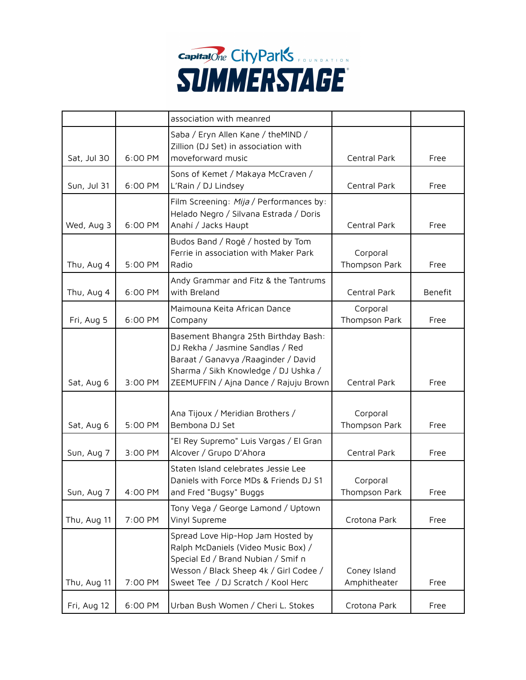

|             |         | association with meanred                                                                                                                                                                          |                              |         |
|-------------|---------|---------------------------------------------------------------------------------------------------------------------------------------------------------------------------------------------------|------------------------------|---------|
| Sat, Jul 30 | 6:00 PM | Saba / Eryn Allen Kane / theMIND /<br>Zillion (DJ Set) in association with<br>moveforward music                                                                                                   | Central Park                 | Free    |
| Sun, Jul 31 | 6:00 PM | Sons of Kemet / Makaya McCraven /<br>L'Rain / DJ Lindsey                                                                                                                                          | Central Park                 | Free    |
| Wed, Aug 3  | 6:00 PM | Film Screening: Mija / Performances by:<br>Helado Negro / Silvana Estrada / Doris<br>Anahí / Jacks Haupt                                                                                          | Central Park                 | Free    |
| Thu, Aug 4  | 5:00 PM | Budos Band / Rogê / hosted by Tom<br>Ferrie in association with Maker Park<br>Radio                                                                                                               | Corporal<br>Thompson Park    | Free    |
| Thu, Aug 4  | 6:00 PM | Andy Grammar and Fitz & the Tantrums<br>with Breland                                                                                                                                              | Central Park                 | Benefit |
| Fri, Aug 5  | 6:00 PM | Maimouna Keita African Dance<br>Company                                                                                                                                                           | Corporal<br>Thompson Park    | Free    |
| Sat, Aug 6  | 3:00 PM | Basement Bhangra 25th Birthday Bash:<br>DJ Rekha / Jasmine Sandlas / Red<br>Baraat / Ganavya / Raaginder / David<br>Sharma / Sikh Knowledge / DJ Ushka /<br>ZEEMUFFIN / Ajna Dance / Rajuju Brown | Central Park                 | Free    |
| Sat, Aug 6  | 5:00 PM | Ana Tijoux / Meridian Brothers /<br>Bembona DJ Set                                                                                                                                                | Corporal<br>Thompson Park    | Free    |
| Sun, Aug 7  | 3:00 PM | "El Rey Supremo" Luis Vargas / El Gran<br>Alcover / Grupo D'Ahora                                                                                                                                 | Central Park                 | Free    |
| Sun, Aug 7  | 4:00 PM | Staten Island celebrates Jessie Lee<br>Daniels with Force MDs & Friends DJ S1<br>and Fred "Bugsy" Buggs                                                                                           | Corporal<br>Thompson Park    | Free    |
| Thu, Aug 11 | 7:00 PM | Tony Vega / George Lamond / Uptown<br>Vinyl Supreme                                                                                                                                               | Crotona Park                 | Free    |
| Thu, Aug 11 | 7:00 PM | Spread Love Hip-Hop Jam Hosted by<br>Ralph McDaniels (Video Music Box) /<br>Special Ed / Brand Nubian / Smif n<br>Wesson / Black Sheep 4k / Girl Codee /<br>Sweet Tee / DJ Scratch / Kool Herc    | Coney Island<br>Amphitheater | Free    |
| Fri, Aug 12 | 6:00 PM | Urban Bush Women / Cheri L. Stokes                                                                                                                                                                | Crotona Park                 | Free    |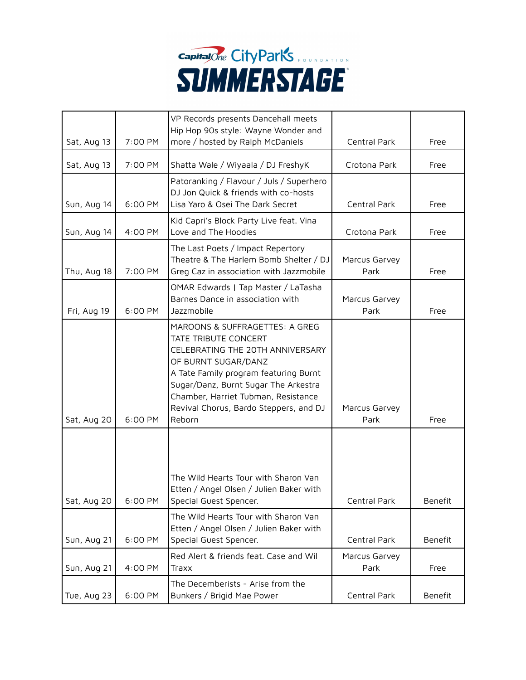

|             |         | VP Records presents Dancehall meets                                                                                                                                                                                                                                                           |                       |         |
|-------------|---------|-----------------------------------------------------------------------------------------------------------------------------------------------------------------------------------------------------------------------------------------------------------------------------------------------|-----------------------|---------|
| Sat, Aug 13 | 7:00 PM | Hip Hop 90s style: Wayne Wonder and<br>more / hosted by Ralph McDaniels                                                                                                                                                                                                                       | Central Park          | Free    |
| Sat, Aug 13 | 7:00 PM | Shatta Wale / Wiyaala / DJ FreshyK                                                                                                                                                                                                                                                            | Crotona Park          | Free    |
| Sun, Aug 14 | 6:00 PM | Patoranking / Flavour / Juls / Superhero<br>DJ Jon Quick & friends with co-hosts<br>Lisa Yaro & Osei The Dark Secret                                                                                                                                                                          | Central Park          | Free    |
| Sun, Aug 14 | 4:00 PM | Kid Capri's Block Party Live feat. Vina<br>Love and The Hoodies                                                                                                                                                                                                                               | Crotona Park          | Free    |
| Thu, Aug 18 | 7:00 PM | The Last Poets / Impact Repertory<br>Theatre & The Harlem Bomb Shelter / DJ<br>Greg Caz in association with Jazzmobile                                                                                                                                                                        | Marcus Garvey<br>Park | Free    |
| Fri, Aug 19 | 6:00 PM | OMAR Edwards   Tap Master / LaTasha<br>Barnes Dance in association with<br>Jazzmobile                                                                                                                                                                                                         | Marcus Garvey<br>Park | Free    |
| Sat, Aug 20 | 6:00 PM | MAROONS & SUFFRAGETTES: A GREG<br>TATE TRIBUTE CONCERT<br>CELEBRATING THE 20TH ANNIVERSARY<br>OF BURNT SUGAR/DANZ<br>A Tate Family program featuring Burnt<br>Sugar/Danz, Burnt Sugar The Arkestra<br>Chamber, Harriet Tubman, Resistance<br>Revival Chorus, Bardo Steppers, and DJ<br>Reborn | Marcus Garvey<br>Park | Free    |
| Sat, Aug 20 | 6:00 PM | The Wild Hearts Tour with Sharon Van<br>Etten / Angel Olsen / Julien Baker with<br>Special Guest Spencer.                                                                                                                                                                                     | Central Park          | Benefit |
| Sun, Aug 21 | 6:00 PM | The Wild Hearts Tour with Sharon Van<br>Etten / Angel Olsen / Julien Baker with<br>Special Guest Spencer.                                                                                                                                                                                     | Central Park          | Benefit |
| Sun, Aug 21 | 4:00 PM | Red Alert & friends feat. Case and Wil<br>Traxx                                                                                                                                                                                                                                               | Marcus Garvey<br>Park | Free    |
| Tue, Aug 23 | 6:00 PM | The Decemberists - Arise from the<br>Bunkers / Brigid Mae Power                                                                                                                                                                                                                               | Central Park          | Benefit |